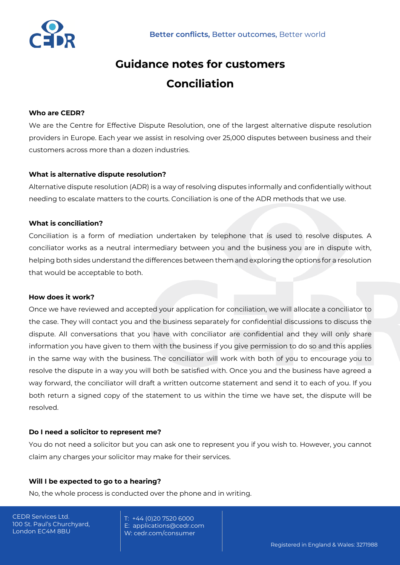

# **Guidance notes for customers Conciliation**

# **Who are CEDR?**

We are the Centre for Effective Dispute Resolution, one of the largest alternative dispute resolution providers in Europe. Each year we assist in resolving over 25,000 disputes between business and their customers across more than a dozen industries.

## **What is alternative dispute resolution?**

Alternative dispute resolution (ADR) is a way of resolving disputes informally and confidentially without needing to escalate matters to the courts. Conciliation is one of the ADR methods that we use.

## **What is conciliation?**

Conciliation is a form of mediation undertaken by telephone that is used to resolve disputes. A conciliator works as a neutral intermediary between you and the business you are in dispute with, helping both sides understand the differences between them and exploring the options for a resolution that would be acceptable to both.

#### **How does it work?**

Once we have reviewed and accepted your application for conciliation, we will allocate a conciliator to the case. They will contact you and the business separately for confidential discussions to discuss the dispute. All conversations that you have with conciliator are confidential and they will only share information you have given to them with the business if you give permission to do so and this applies in the same way with the business. The conciliator will work with both of you to encourage you to resolve the dispute in a way you will both be satisfied with. Once you and the business have agreed a way forward, the conciliator will draft a written outcome statement and send it to each of you. If you both return a signed copy of the statement to us within the time we have set, the dispute will be resolved.

#### **Do I need a solicitor to represent me?**

You do not need a solicitor but you can ask one to represent you if you wish to. However, you cannot claim any charges your solicitor may make for their services.

#### **Will I be expected to go to a hearing?**

No, the whole process is conducted over the phone and in writing.

CEDR Services Ltd. 100 St. Paul's Churchyard, London EC4M 8BU

T: +44 (0)20 7520 6000 E: applications@cedr.com W: cedr.com/consumer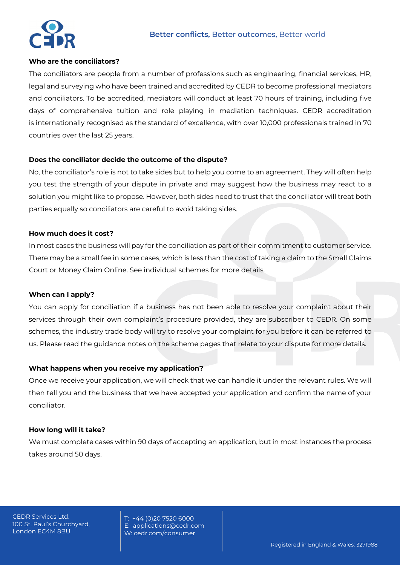

# **Who are the conciliators?**

The conciliators are people from a number of professions such as engineering, financial services, HR, legal and surveying who have been trained and accredited by CEDR to become professional mediators and conciliators. To be accredited, mediators will conduct at least 70 hours of training, including five days of comprehensive tuition and role playing in mediation techniques. CEDR accreditation is internationally recognised as the standard of excellence, with over 10,000 professionals trained in 70 countries over the last 25 years.

## **Does the conciliator decide the outcome of the dispute?**

No, the conciliator's role is not to take sides but to help you come to an agreement. They will often help you test the strength of your dispute in private and may suggest how the business may react to a solution you might like to propose. However, both sides need to trust that the conciliator will treat both parties equally so conciliators are careful to avoid taking sides.

#### **How much does it cost?**

In most cases the business will pay for the conciliation as part of their commitment to customer service. There may be a small fee in some cases, which is less than the cost of taking a claim to the Small Claims Court or Money Claim Online. See individual schemes for more details.

#### **When can I apply?**

You can apply for conciliation if a business has not been able to resolve your complaint about their services through their own complaint's procedure provided, they are subscriber to CEDR. On some schemes, the industry trade body will try to resolve your complaint for you before it can be referred to us. Please read the guidance notes on the scheme pages that relate to your dispute for more details.

# **What happens when you receive my application?**

Once we receive your application, we will check that we can handle it under the relevant rules. We will then tell you and the business that we have accepted your application and confirm the name of your conciliator.

# **How long will it take?**

We must complete cases within 90 days of accepting an application, but in most instances the process takes around 50 days.

T: +44 (0)20 7520 6000 E: applications@cedr.com W: cedr.com/consumer